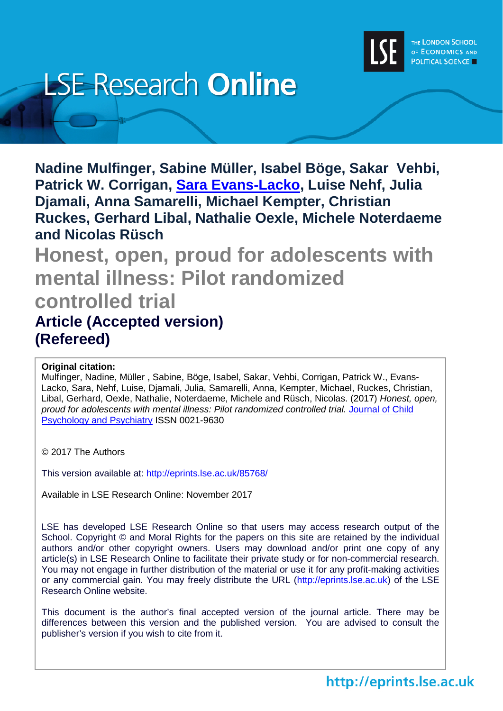

# **LSE Research Online**

**Nadine Mulfinger, Sabine Müller, Isabel Böge, Sakar Vehbi, Patrick W. Corrigan, [Sara Evans-Lacko,](http://www.lse.ac.uk/researchAndExpertise/Experts/searchResults.aspx?query=Evans-Lacko) Luise Nehf, Julia Djamali, Anna Samarelli, Michael Kempter, Christian Ruckes, Gerhard Libal, Nathalie Oexle, Michele Noterdaeme and Nicolas Rüsch**

**Honest, open, proud for adolescents with mental illness: Pilot randomized controlled trial Article (Accepted version) (Refereed)**

# **Original citation:**

Mulfinger, Nadine, Müller , Sabine, Böge, Isabel, Sakar, Vehbi, Corrigan, Patrick W., Evans-Lacko, Sara, Nehf, Luise, Djamali, Julia, Samarelli, Anna, Kempter, Michael, Ruckes, Christian, Libal, Gerhard, Oexle, Nathalie, Noterdaeme, Michele and Rüsch, Nicolas. (2017) *Honest, open, proud for adolescents with mental illness: Pilot randomized controlled trial.* [Journal of Child](http://onlinelibrary.wiley.com/journal/10.1111/(ISSN)1469-7610)  [Psychology and Psychiatry](http://onlinelibrary.wiley.com/journal/10.1111/(ISSN)1469-7610) ISSN 0021-9630

© 2017 The Authors

This version available at:<http://eprints.lse.ac.uk/85768/>

Available in LSE Research Online: November 2017

LSE has developed LSE Research Online so that users may access research output of the School. Copyright © and Moral Rights for the papers on this site are retained by the individual authors and/or other copyright owners. Users may download and/or print one copy of any article(s) in LSE Research Online to facilitate their private study or for non-commercial research. You may not engage in further distribution of the material or use it for any profit-making activities or any commercial gain. You may freely distribute the URL (http://eprints.lse.ac.uk) of the LSE Research Online website.

This document is the author's final accepted version of the journal article. There may be differences between this version and the published version. You are advised to consult the publisher's version if you wish to cite from it.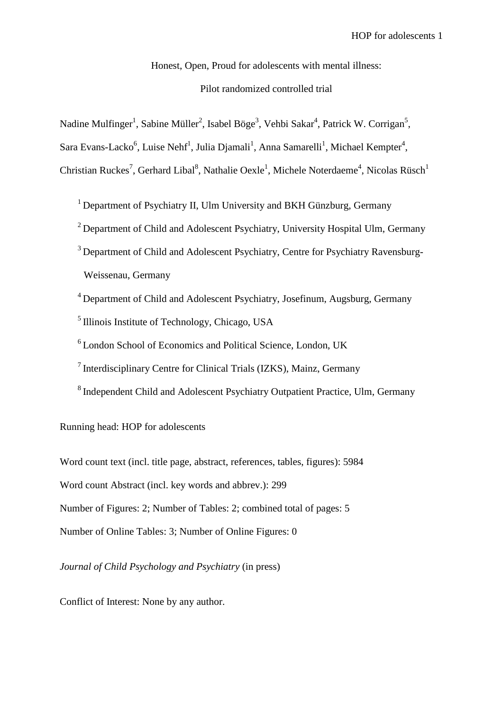Honest, Open, Proud for adolescents with mental illness:

# Pilot randomized controlled trial

Nadine Mulfinger<sup>1</sup>, Sabine Müller<sup>2</sup>, Isabel Böge<sup>3</sup>, Vehbi Sakar<sup>4</sup>, Patrick W. Corrigan<sup>5</sup>,

Sara Evans-Lacko<sup>6</sup>, Luise Nehf<sup>1</sup>, Julia Djamali<sup>1</sup>, Anna Samarelli<sup>1</sup>, Michael Kempter<sup>4</sup>,

Christian Ruckes<sup>7</sup>, Gerhard Libal<sup>8</sup>, Nathalie Oexle<sup>1</sup>, Michele Noterdaeme<sup>4</sup>, Nicolas Rüsch<sup>1</sup>

<sup>1</sup> Department of Psychiatry II, Ulm University and BKH Günzburg, Germany

<sup>2</sup> Department of Child and Adolescent Psychiatry, University Hospital Ulm, Germany

<sup>3</sup> Department of Child and Adolescent Psychiatry, Centre for Psychiatry Ravensburg-Weissenau, Germany

<sup>4</sup> Department of Child and Adolescent Psychiatry, Josefinum, Augsburg, Germany

<sup>5</sup> Illinois Institute of Technology, Chicago, USA

<sup>6</sup> London School of Economics and Political Science, London, UK

7 Interdisciplinary Centre for Clinical Trials (IZKS), Mainz, Germany

<sup>8</sup> Independent Child and Adolescent Psychiatry Outpatient Practice, Ulm, Germany

Running head: HOP for adolescents

Word count text (incl. title page, abstract, references, tables, figures): 5984 Word count Abstract (incl. key words and abbrev.): 299 Number of Figures: 2; Number of Tables: 2; combined total of pages: 5 Number of Online Tables: 3; Number of Online Figures: 0

*Journal of Child Psychology and Psychiatry* (in press)

Conflict of Interest: None by any author.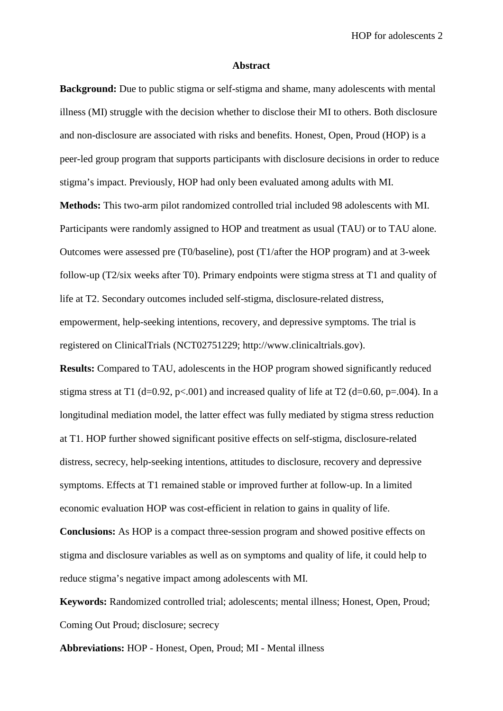HOP for adolescents 2

#### **Abstract**

**Background:** Due to public stigma or self-stigma and shame, many adolescents with mental illness (MI) struggle with the decision whether to disclose their MI to others. Both disclosure and non-disclosure are associated with risks and benefits. Honest, Open, Proud (HOP) is a peer-led group program that supports participants with disclosure decisions in order to reduce stigma's impact. Previously, HOP had only been evaluated among adults with MI.

**Methods:** This two-arm pilot randomized controlled trial included 98 adolescents with MI. Participants were randomly assigned to HOP and treatment as usual (TAU) or to TAU alone. Outcomes were assessed pre (T0/baseline), post (T1/after the HOP program) and at 3-week follow-up (T2/six weeks after T0). Primary endpoints were stigma stress at T1 and quality of life at T2. Secondary outcomes included self-stigma, disclosure-related distress, empowerment, help-seeking intentions, recovery, and depressive symptoms. The trial is registered on ClinicalTrials (NCT02751229; http://www.clinicaltrials.gov).

**Results:** Compared to TAU, adolescents in the HOP program showed significantly reduced stigma stress at T1 (d=0.92, p<.001) and increased quality of life at T2 (d=0.60, p=.004). In a longitudinal mediation model, the latter effect was fully mediated by stigma stress reduction at T1. HOP further showed significant positive effects on self-stigma, disclosure-related distress, secrecy, help-seeking intentions, attitudes to disclosure, recovery and depressive symptoms. Effects at T1 remained stable or improved further at follow-up. In a limited economic evaluation HOP was cost-efficient in relation to gains in quality of life.

**Conclusions:** As HOP is a compact three-session program and showed positive effects on stigma and disclosure variables as well as on symptoms and quality of life, it could help to reduce stigma's negative impact among adolescents with MI.

**Keywords:** Randomized controlled trial; adolescents; mental illness; Honest, Open, Proud; Coming Out Proud; disclosure; secrecy

**Abbreviations:** HOP - Honest, Open, Proud; MI - Mental illness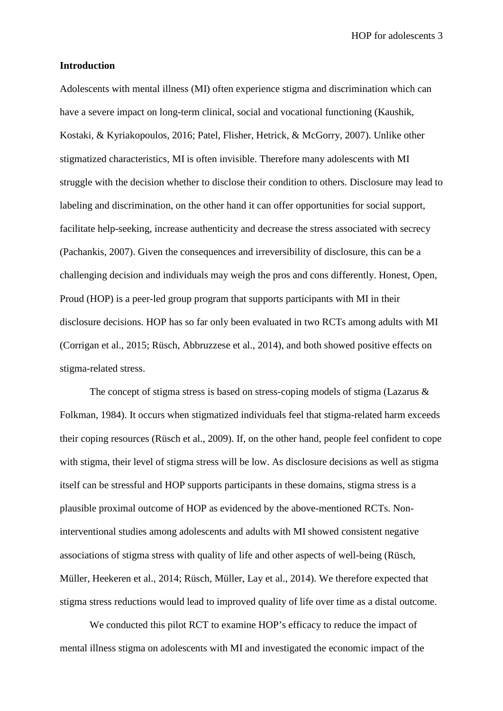HOP for adolescents 3

# **Introduction**

Adolescents with mental illness (MI) often experience stigma and discrimination which can have a severe impact on long-term clinical, social and vocational functioning (Kaushik, Kostaki, & Kyriakopoulos, 2016; Patel, Flisher, Hetrick, & McGorry, 2007). Unlike other stigmatized characteristics, MI is often invisible. Therefore many adolescents with MI struggle with the decision whether to disclose their condition to others. Disclosure may lead to labeling and discrimination, on the other hand it can offer opportunities for social support, facilitate help-seeking, increase authenticity and decrease the stress associated with secrecy (Pachankis, 2007). Given the consequences and irreversibility of disclosure, this can be a challenging decision and individuals may weigh the pros and cons differently. Honest, Open, Proud (HOP) is a peer-led group program that supports participants with MI in their disclosure decisions. HOP has so far only been evaluated in two RCTs among adults with MI (Corrigan et al., 2015; Rüsch, Abbruzzese et al., 2014), and both showed positive effects on stigma-related stress.

The concept of stigma stress is based on stress-coping models of stigma (Lazarus & Folkman, 1984). It occurs when stigmatized individuals feel that stigma-related harm exceeds their coping resources (Rüsch et al., 2009). If, on the other hand, people feel confident to cope with stigma, their level of stigma stress will be low. As disclosure decisions as well as stigma itself can be stressful and HOP supports participants in these domains, stigma stress is a plausible proximal outcome of HOP as evidenced by the above-mentioned RCTs. Noninterventional studies among adolescents and adults with MI showed consistent negative associations of stigma stress with quality of life and other aspects of well-being (Rüsch, Müller, Heekeren et al., 2014; Rüsch, Müller, Lay et al., 2014). We therefore expected that stigma stress reductions would lead to improved quality of life over time as a distal outcome.

We conducted this pilot RCT to examine HOP's efficacy to reduce the impact of mental illness stigma on adolescents with MI and investigated the economic impact of the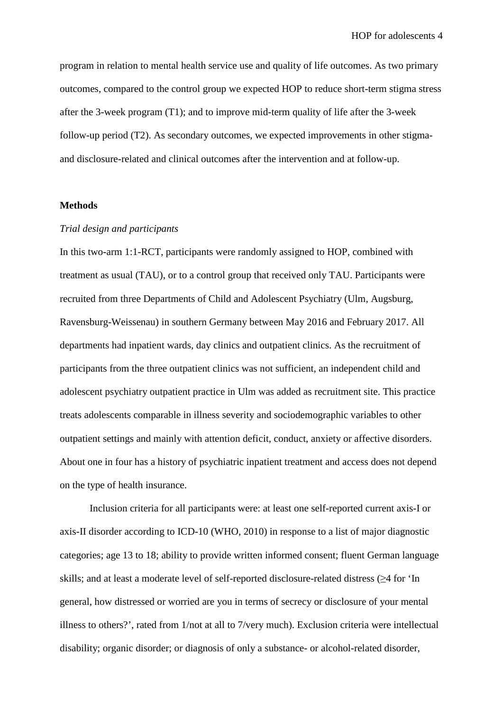program in relation to mental health service use and quality of life outcomes. As two primary outcomes, compared to the control group we expected HOP to reduce short-term stigma stress after the 3-week program (T1); and to improve mid-term quality of life after the 3-week follow-up period (T2). As secondary outcomes, we expected improvements in other stigmaand disclosure-related and clinical outcomes after the intervention and at follow-up.

#### **Methods**

#### *Trial design and participants*

In this two-arm 1:1-RCT, participants were randomly assigned to HOP, combined with treatment as usual (TAU), or to a control group that received only TAU. Participants were recruited from three Departments of Child and Adolescent Psychiatry (Ulm, Augsburg, Ravensburg-Weissenau) in southern Germany between May 2016 and February 2017. All departments had inpatient wards, day clinics and outpatient clinics. As the recruitment of participants from the three outpatient clinics was not sufficient, an independent child and adolescent psychiatry outpatient practice in Ulm was added as recruitment site. This practice treats adolescents comparable in illness severity and sociodemographic variables to other outpatient settings and mainly with attention deficit, conduct, anxiety or affective disorders. About one in four has a history of psychiatric inpatient treatment and access does not depend on the type of health insurance.

Inclusion criteria for all participants were: at least one self-reported current axis-I or axis-II disorder according to ICD-10 (WHO, 2010) in response to a list of major diagnostic categories; age 13 to 18; ability to provide written informed consent; fluent German language skills; and at least a moderate level of self-reported disclosure-related distress (≥4 for 'In general, how distressed or worried are you in terms of secrecy or disclosure of your mental illness to others?', rated from 1/not at all to 7/very much). Exclusion criteria were intellectual disability; organic disorder; or diagnosis of only a substance- or alcohol-related disorder,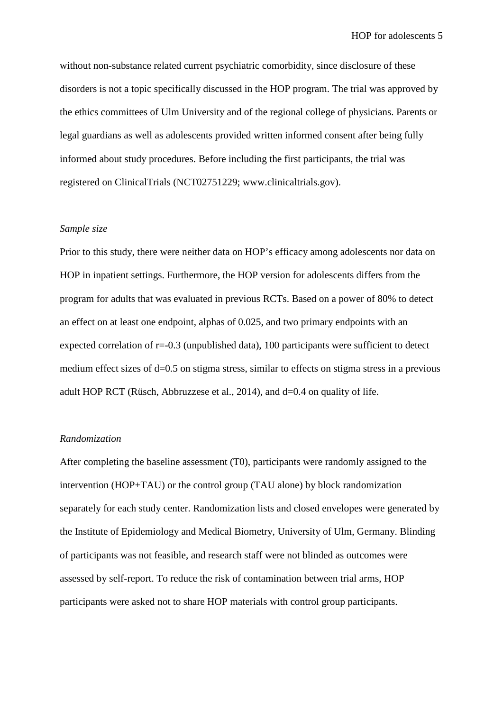without non-substance related current psychiatric comorbidity, since disclosure of these disorders is not a topic specifically discussed in the HOP program. The trial was approved by the ethics committees of Ulm University and of the regional college of physicians. Parents or legal guardians as well as adolescents provided written informed consent after being fully informed about study procedures. Before including the first participants, the trial was registered on ClinicalTrials (NCT02751229; [www.clinicaltrials.gov\)](http://www.clinicaltrials.gov/).

#### *Sample size*

Prior to this study, there were neither data on HOP's efficacy among adolescents nor data on HOP in inpatient settings. Furthermore, the HOP version for adolescents differs from the program for adults that was evaluated in previous RCTs. Based on a power of 80% to detect an effect on at least one endpoint, alphas of 0.025, and two primary endpoints with an expected correlation of  $r=-0.3$  (unpublished data), 100 participants were sufficient to detect medium effect sizes of d=0.5 on stigma stress, similar to effects on stigma stress in a previous adult HOP RCT (Rüsch, Abbruzzese et al., 2014), and d=0.4 on quality of life.

#### *Randomization*

After completing the baseline assessment (T0), participants were randomly assigned to the intervention (HOP+TAU) or the control group (TAU alone) by block randomization separately for each study center. Randomization lists and closed envelopes were generated by the Institute of Epidemiology and Medical Biometry, University of Ulm, Germany. Blinding of participants was not feasible, and research staff were not blinded as outcomes were assessed by self-report. To reduce the risk of contamination between trial arms, HOP participants were asked not to share HOP materials with control group participants.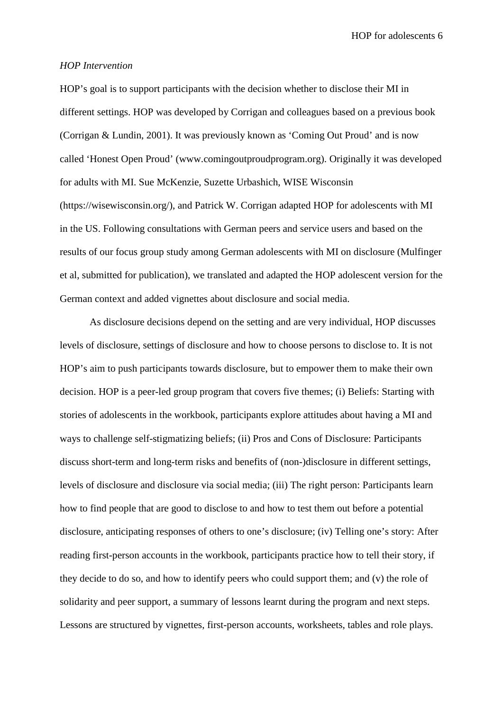HOP for adolescents 6

#### *HOP Intervention*

HOP's goal is to support participants with the decision whether to disclose their MI in different settings. HOP was developed by Corrigan and colleagues based on a previous book (Corrigan & Lundin, 2001). It was previously known as 'Coming Out Proud' and is now called 'Honest Open Proud' (www.comingoutproudprogram.org). Originally it was developed for adults with MI. Sue McKenzie, Suzette Urbashich, WISE Wisconsin (https://wisewisconsin.org/), and Patrick W. Corrigan adapted HOP for adolescents with MI in the US. Following consultations with German peers and service users and based on the results of our focus group study among German adolescents with MI on disclosure (Mulfinger et al, submitted for publication), we translated and adapted the HOP adolescent version for the German context and added vignettes about disclosure and social media.

As disclosure decisions depend on the setting and are very individual, HOP discusses levels of disclosure, settings of disclosure and how to choose persons to disclose to. It is not HOP's aim to push participants towards disclosure, but to empower them to make their own decision. HOP is a peer-led group program that covers five themes; (i) Beliefs: Starting with stories of adolescents in the workbook, participants explore attitudes about having a MI and ways to challenge self-stigmatizing beliefs; (ii) Pros and Cons of Disclosure: Participants discuss short-term and long-term risks and benefits of (non-)disclosure in different settings, levels of disclosure and disclosure via social media; (iii) The right person: Participants learn how to find people that are good to disclose to and how to test them out before a potential disclosure, anticipating responses of others to one's disclosure; (iv) Telling one's story: After reading first-person accounts in the workbook, participants practice how to tell their story, if they decide to do so, and how to identify peers who could support them; and (v) the role of solidarity and peer support, a summary of lessons learnt during the program and next steps. Lessons are structured by vignettes, first-person accounts, worksheets, tables and role plays.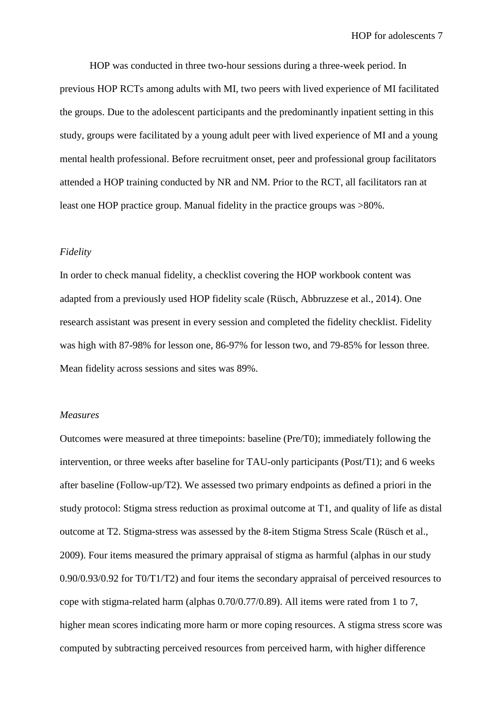HOP was conducted in three two-hour sessions during a three-week period. In previous HOP RCTs among adults with MI, two peers with lived experience of MI facilitated the groups. Due to the adolescent participants and the predominantly inpatient setting in this study, groups were facilitated by a young adult peer with lived experience of MI and a young mental health professional. Before recruitment onset, peer and professional group facilitators attended a HOP training conducted by NR and NM. Prior to the RCT, all facilitators ran at least one HOP practice group. Manual fidelity in the practice groups was >80%.

#### *Fidelity*

In order to check manual fidelity, a checklist covering the HOP workbook content was adapted from a previously used HOP fidelity scale (Rüsch, Abbruzzese et al., 2014). One research assistant was present in every session and completed the fidelity checklist. Fidelity was high with 87-98% for lesson one, 86-97% for lesson two, and 79-85% for lesson three. Mean fidelity across sessions and sites was 89%.

#### *Measures*

Outcomes were measured at three timepoints: baseline (Pre/T0); immediately following the intervention, or three weeks after baseline for TAU-only participants (Post/T1); and 6 weeks after baseline (Follow-up/T2). We assessed two primary endpoints as defined a priori in the study protocol: Stigma stress reduction as proximal outcome at T1, and quality of life as distal outcome at T2. Stigma-stress was assessed by the 8-item Stigma Stress Scale (Rüsch et al., 2009). Four items measured the primary appraisal of stigma as harmful (alphas in our study 0.90/0.93/0.92 for T0/T1/T2) and four items the secondary appraisal of perceived resources to cope with stigma-related harm (alphas 0.70/0.77/0.89). All items were rated from 1 to 7, higher mean scores indicating more harm or more coping resources. A stigma stress score was computed by subtracting perceived resources from perceived harm, with higher difference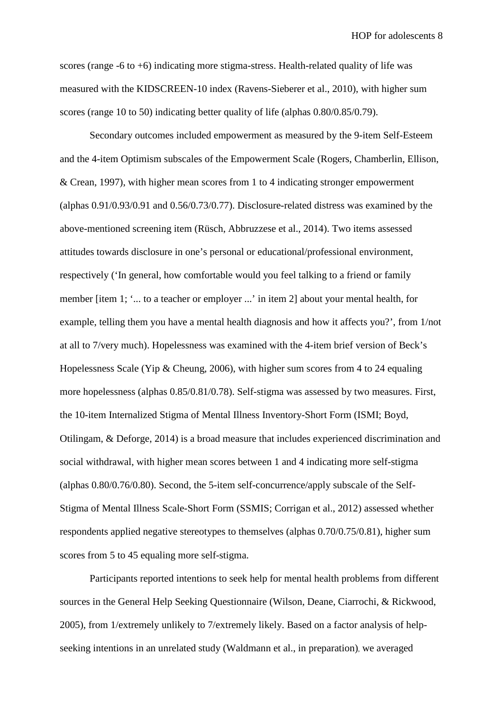scores (range -6 to +6) indicating more stigma-stress. Health-related quality of life was measured with the KIDSCREEN-10 index (Ravens-Sieberer et al., 2010), with higher sum scores (range 10 to 50) indicating better quality of life (alphas 0.80/0.85/0.79).

Secondary outcomes included empowerment as measured by the 9-item Self-Esteem and the 4-item Optimism subscales of the Empowerment Scale (Rogers, Chamberlin, Ellison, & Crean, 1997), with higher mean scores from 1 to 4 indicating stronger empowerment (alphas 0.91/0.93/0.91 and 0.56/0.73/0.77). Disclosure-related distress was examined by the above-mentioned screening item (Rüsch, Abbruzzese et al., 2014). Two items assessed attitudes towards disclosure in one's personal or educational/professional environment, respectively ('In general, how comfortable would you feel talking to a friend or family member [item 1; '... to a teacher or employer ...' in item 2] about your mental health, for example, telling them you have a mental health diagnosis and how it affects you?', from 1/not at all to 7/very much). Hopelessness was examined with the 4-item brief version of Beck's Hopelessness Scale (Yip & Cheung, 2006), with higher sum scores from 4 to 24 equaling more hopelessness (alphas 0.85/0.81/0.78). Self-stigma was assessed by two measures. First, the 10-item Internalized Stigma of Mental Illness Inventory-Short Form (ISMI; Boyd, Otilingam, & Deforge, 2014) is a broad measure that includes experienced discrimination and social withdrawal, with higher mean scores between 1 and 4 indicating more self-stigma (alphas 0.80/0.76/0.80). Second, the 5-item self-concurrence/apply subscale of the Self-Stigma of Mental Illness Scale-Short Form (SSMIS; Corrigan et al., 2012) assessed whether respondents applied negative stereotypes to themselves (alphas 0.70/0.75/0.81), higher sum scores from 5 to 45 equaling more self-stigma.

Participants reported intentions to seek help for mental health problems from different sources in the General Help Seeking Questionnaire (Wilson, Deane, Ciarrochi, & Rickwood, 2005), from 1/extremely unlikely to 7/extremely likely. Based on a factor analysis of helpseeking intentions in an unrelated study (Waldmann et al., in preparation), we averaged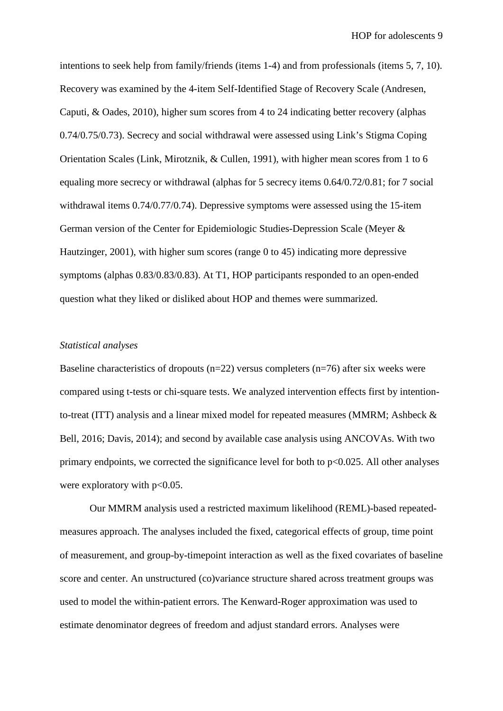intentions to seek help from family/friends (items 1-4) and from professionals (items 5, 7, 10). Recovery was examined by the 4-item Self-Identified Stage of Recovery Scale (Andresen, Caputi, & Oades, 2010), higher sum scores from 4 to 24 indicating better recovery (alphas 0.74/0.75/0.73). Secrecy and social withdrawal were assessed using Link's Stigma Coping Orientation Scales (Link, Mirotznik, & Cullen, 1991), with higher mean scores from 1 to 6 equaling more secrecy or withdrawal (alphas for 5 secrecy items 0.64/0.72/0.81; for 7 social withdrawal items 0.74/0.77/0.74). Depressive symptoms were assessed using the 15-item German version of the Center for Epidemiologic Studies-Depression Scale (Meyer & Hautzinger, 2001), with higher sum scores (range 0 to 45) indicating more depressive symptoms (alphas 0.83/0.83/0.83). At T1, HOP participants responded to an open-ended question what they liked or disliked about HOP and themes were summarized.

# *Statistical analyses*

Baseline characteristics of dropouts ( $n=22$ ) versus completers ( $n=76$ ) after six weeks were compared using t-tests or chi-square tests. We analyzed intervention effects first by intentionto-treat (ITT) analysis and a linear mixed model for repeated measures (MMRM; Ashbeck & Bell, 2016; Davis, 2014); and second by available case analysis using ANCOVAs. With two primary endpoints, we corrected the significance level for both to  $p<0.025$ . All other analyses were exploratory with  $p<0.05$ .

Our MMRM analysis used a restricted maximum likelihood (REML)-based repeatedmeasures approach. The analyses included the fixed, categorical effects of group, time point of measurement, and group-by-timepoint interaction as well as the fixed covariates of baseline score and center. An unstructured (co)variance structure shared across treatment groups was used to model the within-patient errors. The Kenward-Roger approximation was used to estimate denominator degrees of freedom and adjust standard errors. Analyses were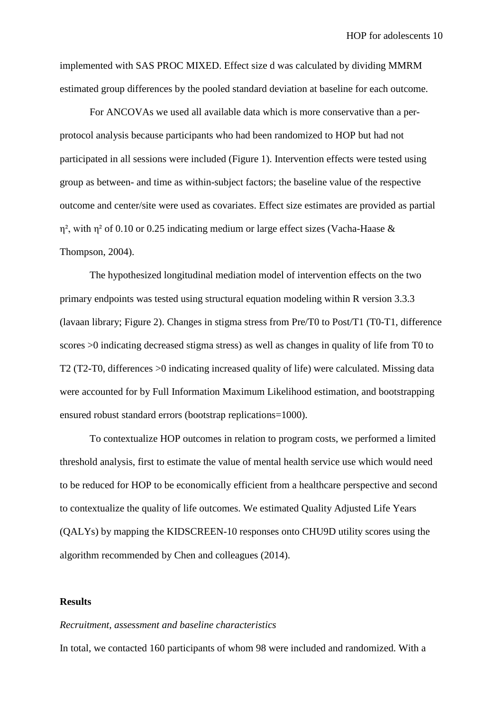implemented with SAS PROC MIXED. Effect size d was calculated by dividing MMRM estimated group differences by the pooled standard deviation at baseline for each outcome.

For ANCOVAs we used all available data which is more conservative than a perprotocol analysis because participants who had been randomized to HOP but had not participated in all sessions were included (Figure 1). Intervention effects were tested using group as between- and time as within-subject factors; the baseline value of the respective outcome and center/site were used as covariates. Effect size estimates are provided as partial η², with η² of 0.10 or 0.25 indicating medium or large effect sizes (Vacha-Haase & Thompson, 2004).

The hypothesized longitudinal mediation model of intervention effects on the two primary endpoints was tested using structural equation modeling within R version 3.3.3 (lavaan library; Figure 2). Changes in stigma stress from Pre/T0 to Post/T1 (T0-T1, difference scores >0 indicating decreased stigma stress) as well as changes in quality of life from T0 to T2 (T2-T0, differences >0 indicating increased quality of life) were calculated. Missing data were accounted for by Full Information Maximum Likelihood estimation, and bootstrapping ensured robust standard errors (bootstrap replications=1000).

To contextualize HOP outcomes in relation to program costs, we performed a limited threshold analysis, first to estimate the value of mental health service use which would need to be reduced for HOP to be economically efficient from a healthcare perspective and second to contextualize the quality of life outcomes. We estimated Quality Adjusted Life Years (QALYs) by mapping the KIDSCREEN-10 responses onto CHU9D utility scores using the algorithm recommended by Chen and colleagues (2014).

#### **Results**

#### *Recruitment, assessment and baseline characteristics*

In total, we contacted 160 participants of whom 98 were included and randomized. With a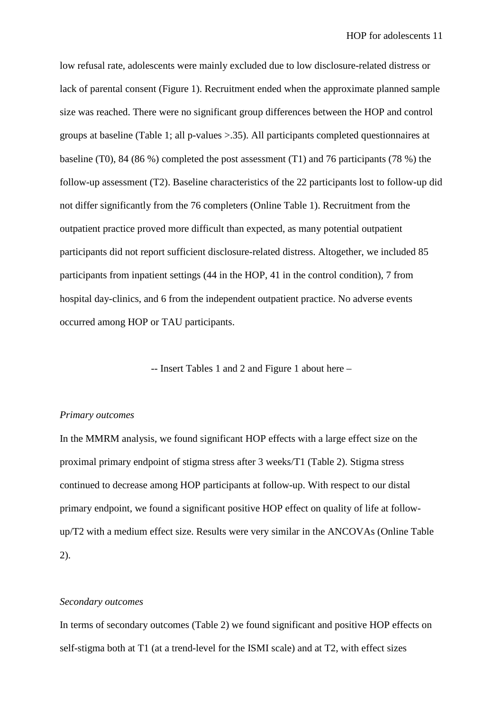low refusal rate, adolescents were mainly excluded due to low disclosure-related distress or lack of parental consent (Figure 1). Recruitment ended when the approximate planned sample size was reached. There were no significant group differences between the HOP and control groups at baseline (Table 1; all p-values >.35). All participants completed questionnaires at baseline (T0), 84 (86 %) completed the post assessment (T1) and 76 participants (78 %) the follow-up assessment (T2). Baseline characteristics of the 22 participants lost to follow-up did not differ significantly from the 76 completers (Online Table 1). Recruitment from the outpatient practice proved more difficult than expected, as many potential outpatient participants did not report sufficient disclosure-related distress. Altogether, we included 85 participants from inpatient settings (44 in the HOP, 41 in the control condition), 7 from hospital day-clinics, and 6 from the independent outpatient practice. No adverse events occurred among HOP or TAU participants.

-- Insert Tables 1 and 2 and Figure 1 about here –

#### *Primary outcomes*

In the MMRM analysis, we found significant HOP effects with a large effect size on the proximal primary endpoint of stigma stress after 3 weeks/T1 (Table 2). Stigma stress continued to decrease among HOP participants at follow-up. With respect to our distal primary endpoint, we found a significant positive HOP effect on quality of life at followup/T2 with a medium effect size. Results were very similar in the ANCOVAs (Online Table 2).

## *Secondary outcomes*

In terms of secondary outcomes (Table 2) we found significant and positive HOP effects on self-stigma both at T1 (at a trend-level for the ISMI scale) and at T2, with effect sizes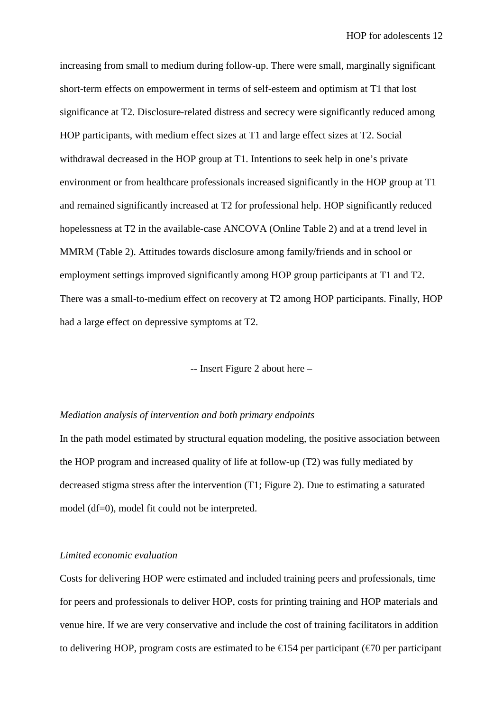increasing from small to medium during follow-up. There were small, marginally significant short-term effects on empowerment in terms of self-esteem and optimism at T1 that lost significance at T2. Disclosure-related distress and secrecy were significantly reduced among HOP participants, with medium effect sizes at T1 and large effect sizes at T2. Social withdrawal decreased in the HOP group at T1. Intentions to seek help in one's private environment or from healthcare professionals increased significantly in the HOP group at T1 and remained significantly increased at T2 for professional help. HOP significantly reduced hopelessness at T2 in the available-case ANCOVA (Online Table 2) and at a trend level in MMRM (Table 2). Attitudes towards disclosure among family/friends and in school or employment settings improved significantly among HOP group participants at T1 and T2. There was a small-to-medium effect on recovery at T2 among HOP participants. Finally, HOP had a large effect on depressive symptoms at T2.

-- Insert Figure 2 about here –

#### *Mediation analysis of intervention and both primary endpoints*

In the path model estimated by structural equation modeling, the positive association between the HOP program and increased quality of life at follow-up (T2) was fully mediated by decreased stigma stress after the intervention (T1; Figure 2). Due to estimating a saturated model (df=0), model fit could not be interpreted.

#### *Limited economic evaluation*

Costs for delivering HOP were estimated and included training peers and professionals, time for peers and professionals to deliver HOP, costs for printing training and HOP materials and venue hire. If we are very conservative and include the cost of training facilitators in addition to delivering HOP, program costs are estimated to be  $\in$  54 per participant ( $\in$ 70 per participant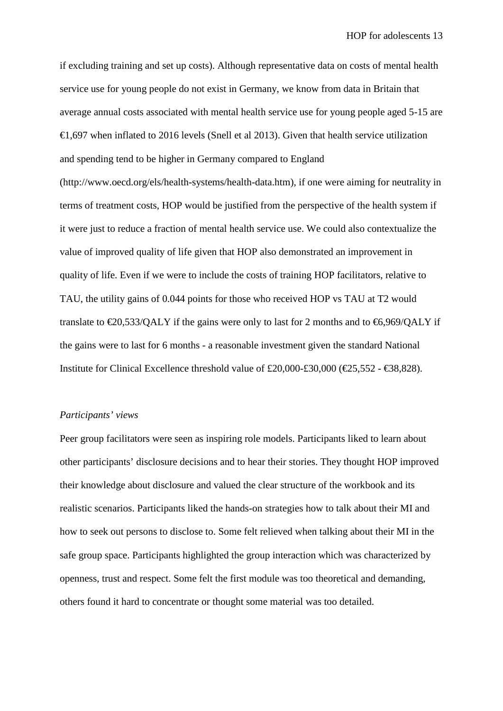if excluding training and set up costs). Although representative data on costs of mental health service use for young people do not exist in Germany, we know from data in Britain that average annual costs associated with mental health service use for young people aged 5-15 are  $\epsilon$ ,697 when inflated to 2016 levels (Snell et al 2013). Given that health service utilization and spending tend to be higher in Germany compared to England (http://www.oecd.org/els/health-systems/health-data.htm), if one were aiming for neutrality in terms of treatment costs, HOP would be justified from the perspective of the health system if it were just to reduce a fraction of mental health service use. We could also contextualize the value of improved quality of life given that HOP also demonstrated an improvement in quality of life. Even if we were to include the costs of training HOP facilitators, relative to TAU, the utility gains of 0.044 points for those who received HOP vs TAU at T2 would translate to  $\epsilon$ 20,533/OALY if the gains were only to last for 2 months and to  $\epsilon$ 6,969/OALY if the gains were to last for 6 months - a reasonable investment given the standard National Institute for Clinical Excellence threshold value of £20,000-£30,000 ( $\text{\textcircled{25}}$ ,552 -  $\text{\textcircled{88}}$ ,828).

#### *Participants' views*

Peer group facilitators were seen as inspiring role models. Participants liked to learn about other participants' disclosure decisions and to hear their stories. They thought HOP improved their knowledge about disclosure and valued the clear structure of the workbook and its realistic scenarios. Participants liked the hands-on strategies how to talk about their MI and how to seek out persons to disclose to. Some felt relieved when talking about their MI in the safe group space. Participants highlighted the group interaction which was characterized by openness, trust and respect. Some felt the first module was too theoretical and demanding, others found it hard to concentrate or thought some material was too detailed.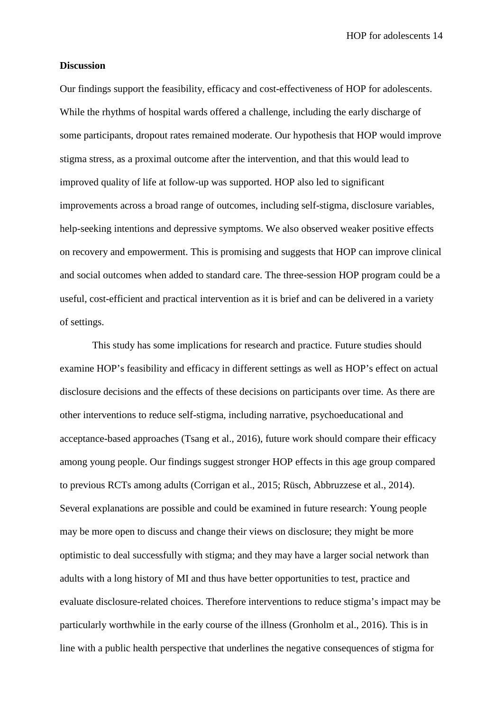HOP for adolescents 14

## **Discussion**

Our findings support the feasibility, efficacy and cost-effectiveness of HOP for adolescents. While the rhythms of hospital wards offered a challenge, including the early discharge of some participants, dropout rates remained moderate. Our hypothesis that HOP would improve stigma stress, as a proximal outcome after the intervention, and that this would lead to improved quality of life at follow-up was supported. HOP also led to significant improvements across a broad range of outcomes, including self-stigma, disclosure variables, help-seeking intentions and depressive symptoms. We also observed weaker positive effects on recovery and empowerment. This is promising and suggests that HOP can improve clinical and social outcomes when added to standard care. The three-session HOP program could be a useful, cost-efficient and practical intervention as it is brief and can be delivered in a variety of settings.

This study has some implications for research and practice. Future studies should examine HOP's feasibility and efficacy in different settings as well as HOP's effect on actual disclosure decisions and the effects of these decisions on participants over time. As there are other interventions to reduce self-stigma, including narrative, psychoeducational and acceptance-based approaches (Tsang et al., 2016), future work should compare their efficacy among young people. Our findings suggest stronger HOP effects in this age group compared to previous RCTs among adults (Corrigan et al., 2015; Rüsch, Abbruzzese et al., 2014). Several explanations are possible and could be examined in future research: Young people may be more open to discuss and change their views on disclosure; they might be more optimistic to deal successfully with stigma; and they may have a larger social network than adults with a long history of MI and thus have better opportunities to test, practice and evaluate disclosure-related choices. Therefore interventions to reduce stigma's impact may be particularly worthwhile in the early course of the illness (Gronholm et al., 2016). This is in line with a public health perspective that underlines the negative consequences of stigma for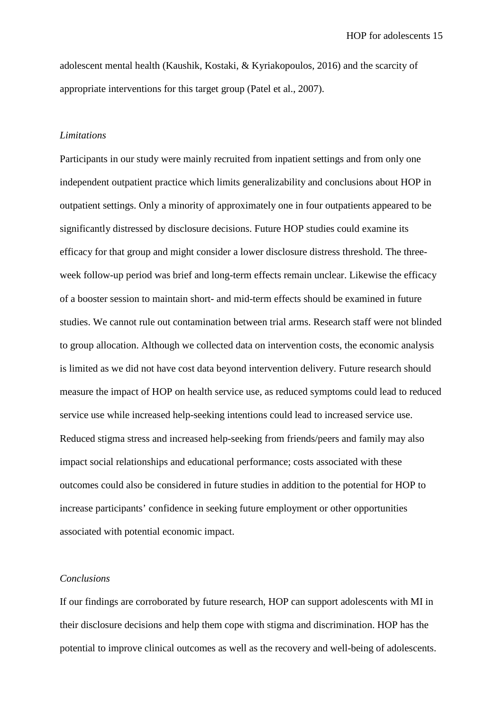adolescent mental health (Kaushik, Kostaki, & Kyriakopoulos, 2016) and the scarcity of appropriate interventions for this target group (Patel et al., 2007).

#### *Limitations*

Participants in our study were mainly recruited from inpatient settings and from only one independent outpatient practice which limits generalizability and conclusions about HOP in outpatient settings. Only a minority of approximately one in four outpatients appeared to be significantly distressed by disclosure decisions. Future HOP studies could examine its efficacy for that group and might consider a lower disclosure distress threshold. The threeweek follow-up period was brief and long-term effects remain unclear. Likewise the efficacy of a booster session to maintain short- and mid-term effects should be examined in future studies. We cannot rule out contamination between trial arms. Research staff were not blinded to group allocation. Although we collected data on intervention costs, the economic analysis is limited as we did not have cost data beyond intervention delivery. Future research should measure the impact of HOP on health service use, as reduced symptoms could lead to reduced service use while increased help-seeking intentions could lead to increased service use. Reduced stigma stress and increased help-seeking from friends/peers and family may also impact social relationships and educational performance; costs associated with these outcomes could also be considered in future studies in addition to the potential for HOP to increase participants' confidence in seeking future employment or other opportunities associated with potential economic impact.

#### *Conclusions*

If our findings are corroborated by future research, HOP can support adolescents with MI in their disclosure decisions and help them cope with stigma and discrimination. HOP has the potential to improve clinical outcomes as well as the recovery and well-being of adolescents.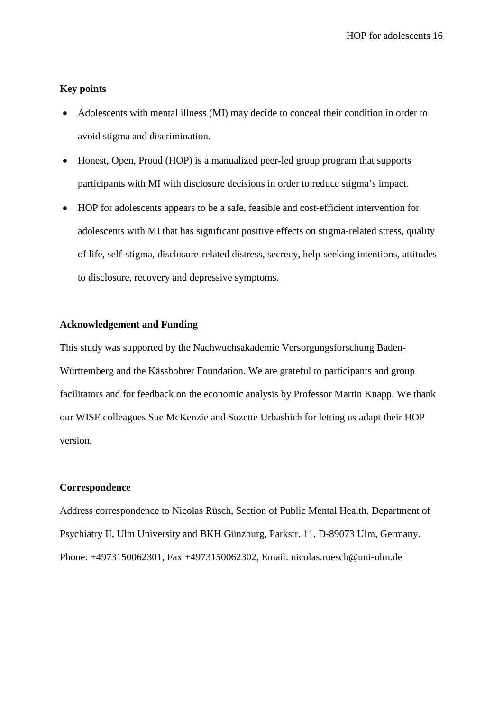# **Key points**

- Adolescents with mental illness (MI) may decide to conceal their condition in order to avoid stigma and discrimination.
- Honest, Open, Proud (HOP) is a manualized peer-led group program that supports participants with MI with disclosure decisions in order to reduce stigma's impact.
- HOP for adolescents appears to be a safe, feasible and cost-efficient intervention for adolescents with MI that has significant positive effects on stigma-related stress, quality of life, self-stigma, disclosure-related distress, secrecy, help-seeking intentions, attitudes to disclosure, recovery and depressive symptoms.

# **Acknowledgement and Funding**

This study was supported by the Nachwuchsakademie Versorgungsforschung Baden-Württemberg and the Kässbohrer Foundation. We are grateful to participants and group facilitators and for feedback on the economic analysis by Professor Martin Knapp. We thank our WISE colleagues Sue McKenzie and Suzette Urbashich for letting us adapt their HOP version.

# **Correspondence**

Address correspondence to Nicolas Rüsch, Section of Public Mental Health, Department of Psychiatry II, Ulm University and BKH Günzburg, Parkstr. 11, D-89073 Ulm, Germany. Phone: +4973150062301, Fax +4973150062302, Email: nicolas.ruesch@uni-ulm.de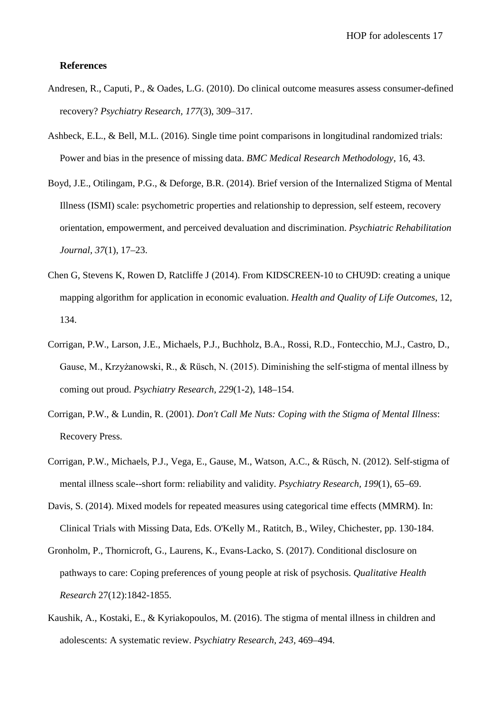#### **References**

- Andresen, R., Caputi, P., & Oades, L.G. (2010). Do clinical outcome measures assess consumer-defined recovery? *Psychiatry Research, 177*(3), 309–317.
- Ashbeck, E.L., & Bell, M.L. (2016). Single time point comparisons in longitudinal randomized trials: Power and bias in the presence of missing data. *BMC Medical Research Methodology*, 16, 43.
- Boyd, J.E., Otilingam, P.G., & Deforge, B.R. (2014). Brief version of the Internalized Stigma of Mental Illness (ISMI) scale: psychometric properties and relationship to depression, self esteem, recovery orientation, empowerment, and perceived devaluation and discrimination. *Psychiatric Rehabilitation Journal, 37*(1), 17–23.
- Chen G, Stevens K, Rowen D, Ratcliffe J (2014). From KIDSCREEN-10 to CHU9D: creating a unique mapping algorithm for application in economic evaluation. *Health and Quality of Life Outcomes*, 12, 134.
- Corrigan, P.W., Larson, J.E., Michaels, P.J., Buchholz, B.A., Rossi, R.D., Fontecchio, M.J., Castro, D., Gause, M., Krzyżanowski, R., & Rüsch, N. (2015). Diminishing the self-stigma of mental illness by coming out proud. *Psychiatry Research, 229*(1-2), 148–154.
- Corrigan, P.W., & Lundin, R. (2001). *Don't Call Me Nuts: Coping with the Stigma of Mental Illness*: Recovery Press.
- Corrigan, P.W., Michaels, P.J., Vega, E., Gause, M., Watson, A.C., & Rüsch, N. (2012). Self-stigma of mental illness scale--short form: reliability and validity. *Psychiatry Research, 199*(1), 65–69.
- Davis, S. (2014). Mixed models for repeated measures using categorical time effects (MMRM). In: Clinical Trials with Missing Data, Eds. O'Kelly M., Ratitch, B., Wiley, Chichester, pp. 130-184.
- Gronholm, P., Thornicroft, G., Laurens, K., Evans-Lacko, S. (2017). Conditional disclosure on pathways to care: Coping preferences of young people at risk of psychosis. *Qualitative Health Research* 27(12):1842-1855.
- Kaushik, A., Kostaki, E., & Kyriakopoulos, M. (2016). The stigma of mental illness in children and adolescents: A systematic review. *Psychiatry Research, 243,* 469–494.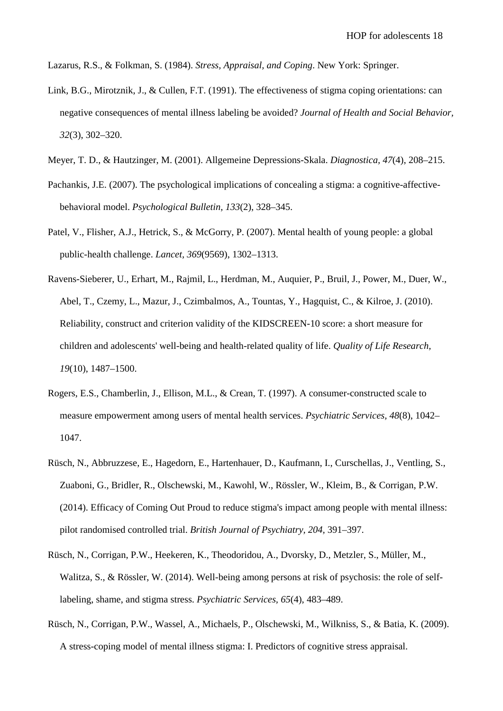Lazarus, R.S., & Folkman, S. (1984). *Stress, Appraisal, and Coping*. New York: Springer.

- Link, B.G., Mirotznik, J., & Cullen, F.T. (1991). The effectiveness of stigma coping orientations: can negative consequences of mental illness labeling be avoided? *Journal of Health and Social Behavior, 32*(3), 302–320.
- Meyer, T. D., & Hautzinger, M. (2001). Allgemeine Depressions-Skala. *Diagnostica, 47*(4), 208–215.
- Pachankis, J.E. (2007). The psychological implications of concealing a stigma: a cognitive-affectivebehavioral model. *Psychological Bulletin, 133*(2), 328–345.
- Patel, V., Flisher, A.J., Hetrick, S., & McGorry, P. (2007). Mental health of young people: a global public-health challenge. *Lancet, 369*(9569), 1302–1313.
- Ravens-Sieberer, U., Erhart, M., Rajmil, L., Herdman, M., Auquier, P., Bruil, J., Power, M., Duer, W., Abel, T., Czemy, L., Mazur, J., Czimbalmos, A., Tountas, Y., Hagquist, C., & Kilroe, J. (2010). Reliability, construct and criterion validity of the KIDSCREEN-10 score: a short measure for children and adolescents' well-being and health-related quality of life. *Quality of Life Research, 19*(10), 1487–1500.
- Rogers, E.S., Chamberlin, J., Ellison, M.L., & Crean, T. (1997). A consumer-constructed scale to measure empowerment among users of mental health services. *Psychiatric Services, 48*(8), 1042– 1047.
- Rüsch, N., Abbruzzese, E., Hagedorn, E., Hartenhauer, D., Kaufmann, I., Curschellas, J., Ventling, S., Zuaboni, G., Bridler, R., Olschewski, M., Kawohl, W., Rössler, W., Kleim, B., & Corrigan, P.W. (2014). Efficacy of Coming Out Proud to reduce stigma's impact among people with mental illness: pilot randomised controlled trial. *British Journal of Psychiatry, 204,* 391–397.
- Rüsch, N., Corrigan, P.W., Heekeren, K., Theodoridou, A., Dvorsky, D., Metzler, S., Müller, M., Walitza, S., & Rössler, W. (2014). Well-being among persons at risk of psychosis: the role of selflabeling, shame, and stigma stress. *Psychiatric Services, 65*(4), 483–489.
- Rüsch, N., Corrigan, P.W., Wassel, A., Michaels, P., Olschewski, M., Wilkniss, S., & Batia, K. (2009). A stress-coping model of mental illness stigma: I. Predictors of cognitive stress appraisal.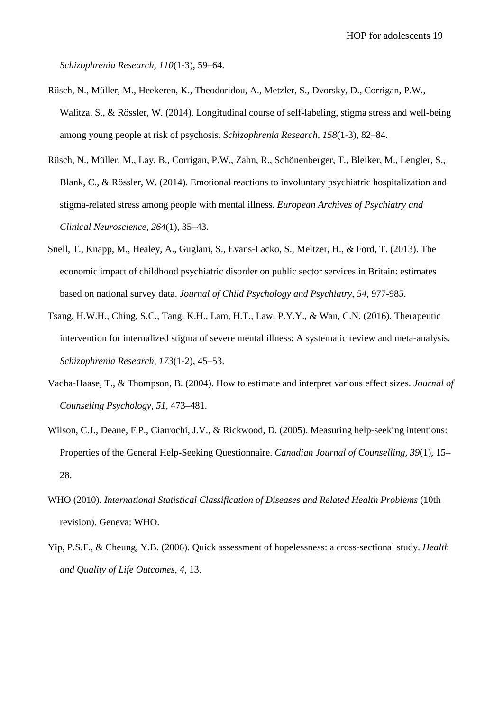*Schizophrenia Research, 110*(1-3), 59–64.

- Rüsch, N., Müller, M., Heekeren, K., Theodoridou, A., Metzler, S., Dvorsky, D., Corrigan, P.W., Walitza, S., & Rössler, W. (2014). Longitudinal course of self-labeling, stigma stress and well-being among young people at risk of psychosis. *Schizophrenia Research, 158*(1-3), 82–84.
- Rüsch, N., Müller, M., Lay, B., Corrigan, P.W., Zahn, R., Schönenberger, T., Bleiker, M., Lengler, S., Blank, C., & Rössler, W. (2014). Emotional reactions to involuntary psychiatric hospitalization and stigma-related stress among people with mental illness. *European Archives of Psychiatry and Clinical Neuroscience, 264*(1), 35–43.
- Snell, T., Knapp, M., Healey, A., Guglani, S., Evans-Lacko, S., Meltzer, H., & Ford, T. (2013). The economic impact of childhood psychiatric disorder on public sector services in Britain: estimates based on national survey data. *Journal of Child Psychology and Psychiatry, 54*, 977-985.
- Tsang, H.W.H., Ching, S.C., Tang, K.H., Lam, H.T., Law, P.Y.Y., & Wan, C.N. (2016). Therapeutic intervention for internalized stigma of severe mental illness: A systematic review and meta-analysis. *Schizophrenia Research, 173*(1-2), 45–53.
- Vacha-Haase, T., & Thompson, B. (2004). How to estimate and interpret various effect sizes. *Journal of Counseling Psychology, 51,* 473–481.
- Wilson, C.J., Deane, F.P., Ciarrochi, J.V., & Rickwood, D. (2005). Measuring help-seeking intentions: Properties of the General Help-Seeking Questionnaire. *Canadian Journal of Counselling, 39*(1), 15– 28.
- WHO (2010). *International Statistical Classification of Diseases and Related Health Problems* (10th revision). Geneva: WHO.
- Yip, P.S.F., & Cheung, Y.B. (2006). Quick assessment of hopelessness: a cross-sectional study. *Health and Quality of Life Outcomes, 4,* 13.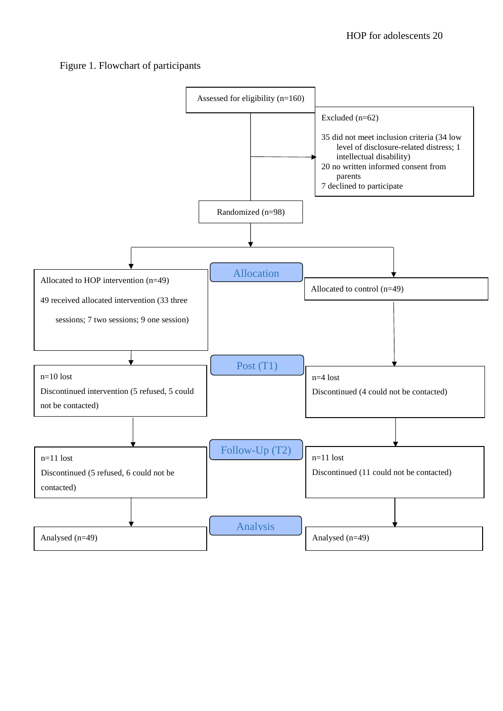# Figure 1. Flowchart of participants

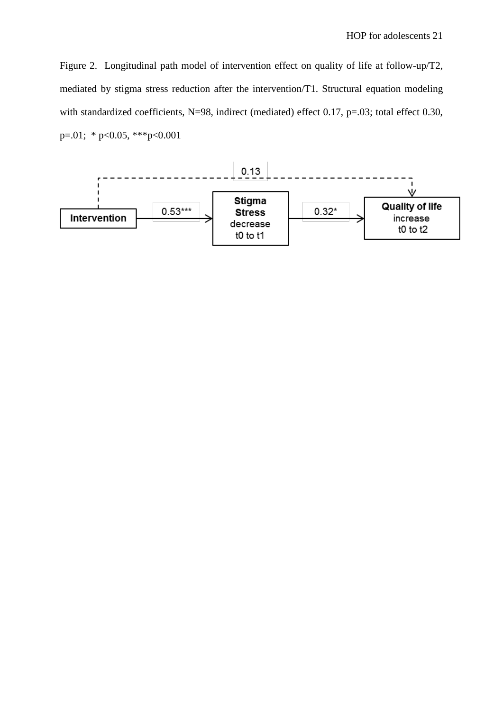Figure 2. Longitudinal path model of intervention effect on quality of life at follow-up/T2, mediated by stigma stress reduction after the intervention/T1. Structural equation modeling with standardized coefficients, N=98, indirect (mediated) effect 0.17, p=.03; total effect 0.30,  $p=.01; * p<0.05, **p<0.001$ 

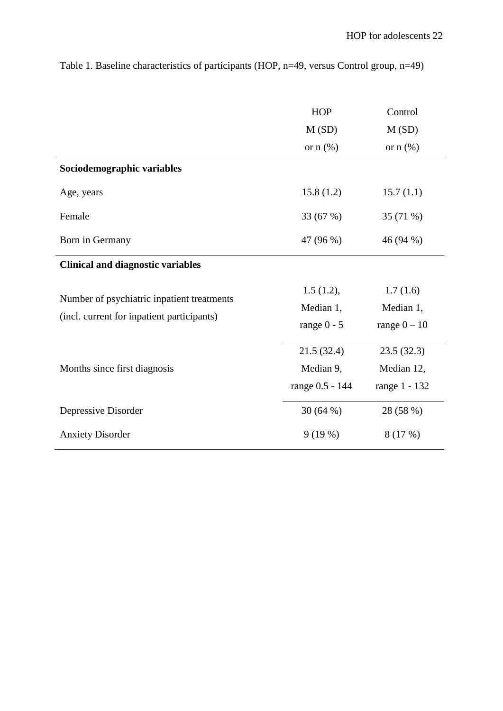|                                            | <b>HOP</b>      | Control       |
|--------------------------------------------|-----------------|---------------|
|                                            | M(SD)           | M(SD)         |
|                                            | or $n$ $(\%)$   | or $n$ $(\%)$ |
| Sociodemographic variables                 |                 |               |
| Age, years                                 | 15.8(1.2)       | 15.7(1.1)     |
| Female                                     | 33 (67 %)       | 35 (71 %)     |
| Born in Germany                            | 47 (96 %)       | 46 (94 %)     |
| <b>Clinical and diagnostic variables</b>   |                 |               |
| Number of psychiatric inpatient treatments | 1.5(1.2),       | 1.7(1.6)      |
| (incl. current for inpatient participants) | Median 1,       | Median 1,     |
|                                            | range $0 - 5$   | range $0-10$  |
|                                            | 21.5(32.4)      | 23.5(32.3)    |
| Months since first diagnosis               | Median 9,       | Median 12,    |
|                                            | range 0.5 - 144 | range 1 - 132 |
| Depressive Disorder                        | 30(64%)         | 28 (58 %)     |
| <b>Anxiety Disorder</b>                    | 9(19%)          | 8(17%)        |

Table 1. Baseline characteristics of participants (HOP, n=49, versus Control group, n=49)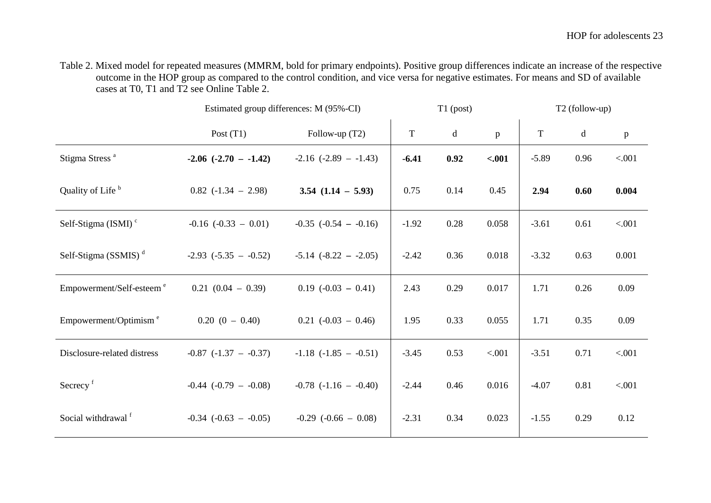Table 2. Mixed model for repeated measures (MMRM, bold for primary endpoints). Positive group differences indicate an increase of the respective outcome in the HOP group as compared to the control condition, and vice versa for negative estimates. For means and SD of available cases at T0, T1 and T2 see Online Table 2.

|                                      | Estimated group differences: M (95%-CI) |                           |             | $T1$ (post) |         | T2 (follow-up) |      |              |
|--------------------------------------|-----------------------------------------|---------------------------|-------------|-------------|---------|----------------|------|--------------|
|                                      | Post $(T1)$                             | Follow-up $(T2)$          | $\mathbf T$ | $\mathbf d$ | p       | $\mathbf T$    | d    | $\, {\bf p}$ |
| Stigma Stress <sup>a</sup>           | $-2.06$ $(-2.70 - -1.42)$               | $-2.16$ $(-2.89 - 1.43)$  | $-6.41$     | 0.92        | $-.001$ | $-5.89$        | 0.96 | < .001       |
| Quality of Life <sup>b</sup>         | $0.82$ (-1.34 – 2.98)                   | $3.54$ $(1.14 - 5.93)$    | 0.75        | 0.14        | 0.45    | 2.94           | 0.60 | 0.004        |
| Self-Stigma (ISMI) <sup>c</sup>      | $-0.16$ $(-0.33 - 0.01)$                | $-0.35$ $(-0.54 - 0.16)$  | $-1.92$     | 0.28        | 0.058   | $-3.61$        | 0.61 | < .001       |
| Self-Stigma (SSMIS) $d$              | $-2.93$ $(-5.35 - -0.52)$               | $-5.14$ $(-8.22 - -2.05)$ | $-2.42$     | 0.36        | 0.018   | $-3.32$        | 0.63 | 0.001        |
| Empowerment/Self-esteem <sup>e</sup> | $0.21(0.04 - 0.39)$                     | $0.19$ $(-0.03 - 0.41)$   | 2.43        | 0.29        | 0.017   | 1.71           | 0.26 | 0.09         |
| Empowerment/Optimism <sup>e</sup>    | $0.20(0 - 0.40)$                        | $0.21$ (-0.03 - 0.46)     | 1.95        | 0.33        | 0.055   | 1.71           | 0.35 | 0.09         |
| Disclosure-related distress          | $-0.87$ $(-1.37 - -0.37)$               | $-1.18$ $(-1.85 - -0.51)$ | $-3.45$     | 0.53        | < .001  | $-3.51$        | 0.71 | < .001       |
| Secrecy <sup>f</sup>                 | $-0.44$ $(-0.79 - 0.08)$                | $-0.78$ $(-1.16 - -0.40)$ | $-2.44$     | 0.46        | 0.016   | $-4.07$        | 0.81 | < .001       |
| Social withdrawal <sup>f</sup>       | $-0.34$ $(-0.63 - 0.05)$                | $-0.29$ $(-0.66 - 0.08)$  | $-2.31$     | 0.34        | 0.023   | $-1.55$        | 0.29 | 0.12         |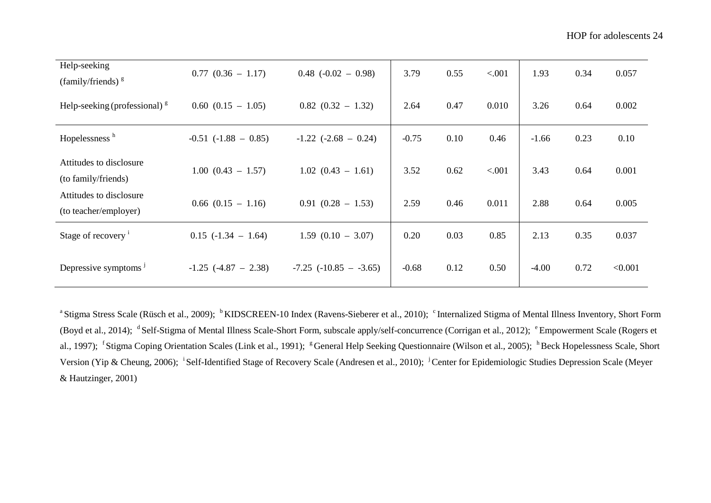| Help-seeking<br>(family/friends) $\frac{g}{g}$   | $0.77$ $(0.36 - 1.17)$   | $0.48$ (-0.02 - 0.98)      | 3.79    | 0.55 | < .001 | 1.93    | 0.34 | 0.057   |
|--------------------------------------------------|--------------------------|----------------------------|---------|------|--------|---------|------|---------|
| Help-seeking (professional) $\frac{g}{g}$        | $0.60$ $(0.15 - 1.05)$   | $0.82$ $(0.32 - 1.32)$     | 2.64    | 0.47 | 0.010  | 3.26    | 0.64 | 0.002   |
| Hopelessness <sup>h</sup>                        | $-0.51$ $(-1.88 - 0.85)$ | $-1.22$ $(-2.68 - 0.24)$   | $-0.75$ | 0.10 | 0.46   | $-1.66$ | 0.23 | 0.10    |
| Attitudes to disclosure<br>(to family/friends)   | $1.00$ $(0.43 - 1.57)$   | $1.02$ $(0.43 - 1.61)$     | 3.52    | 0.62 | < .001 | 3.43    | 0.64 | 0.001   |
| Attitudes to disclosure<br>(to teacher/employer) | $0.66$ $(0.15 - 1.16)$   | $0.91(0.28 - 1.53)$        | 2.59    | 0.46 | 0.011  | 2.88    | 0.64 | 0.005   |
| Stage of recovery <sup>i</sup>                   | $0.15$ ( $-1.34$ - 1.64) | $1.59$ $(0.10 - 3.07)$     | 0.20    | 0.03 | 0.85   | 2.13    | 0.35 | 0.037   |
| Depressive symptoms $^{\mathrm{J}}$              | $-1.25$ $(-4.87 - 2.38)$ | $-7.25$ $(-10.85 - -3.65)$ | $-0.68$ | 0.12 | 0.50   | $-4.00$ | 0.72 | < 0.001 |

<sup>a</sup> Stigma Stress Scale (Rüsch et al., 2009); <sup>b</sup> KIDSCREEN-10 Index (Ravens-Sieberer et al., 2010); <sup>c</sup> Internalized Stigma of Mental Illness Inventory, Short Form (Boyd et al., 2014); <sup>d</sup> Self-Stigma of Mental Illness Scale-Short Form, subscale apply/self-concurrence (Corrigan et al., 2012); <sup>e</sup> Empowerment Scale (Rogers et al., 1997); <sup>f</sup> Stigma Coping Orientation Scales (Link et al., 1991); <sup>g</sup> General Help Seeking Questionnaire (Wilson et al., 2005); <sup>h</sup> Beck Hopelessness Scale, Short Version (Yip & Cheung, 2006); <sup>i</sup>Self-Identified Stage of Recovery Scale (Andresen et al., 2010); <sup>j</sup>Center for Epidemiologic Studies Depression Scale (Meyer & Hautzinger, 2001)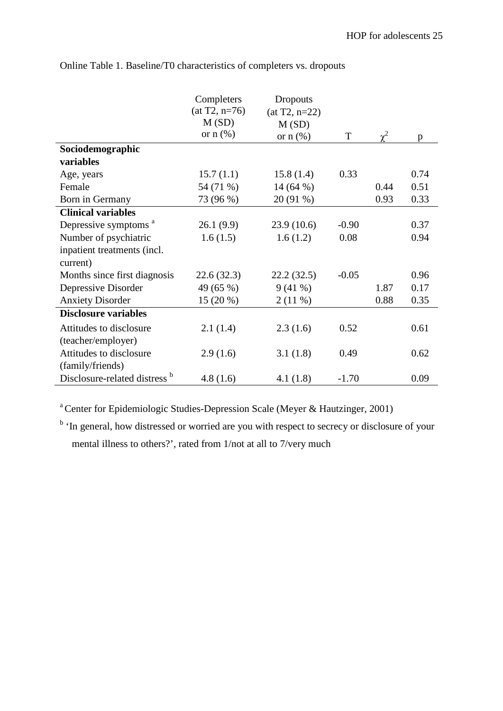|                                          | Completers<br>$(at T2, n=76)$ | Dropouts<br>$(at T2, n=22)$ |         |          |      |
|------------------------------------------|-------------------------------|-----------------------------|---------|----------|------|
|                                          | M(SD)                         | M(SD)                       |         |          |      |
|                                          | or $n$ $(\%)$                 | or $n$ $(\%)$               | T       | $\chi^2$ | p    |
| Sociodemographic                         |                               |                             |         |          |      |
| variables                                |                               |                             |         |          |      |
| Age, years                               | 15.7(1.1)                     | 15.8(1.4)                   | 0.33    |          | 0.74 |
| Female                                   | 54 (71 %)                     | 14 $(64%)$                  |         | 0.44     | 0.51 |
| Born in Germany                          | 73 (96 %)                     | 20 (91 %)                   |         | 0.93     | 0.33 |
| <b>Clinical variables</b>                |                               |                             |         |          |      |
| Depressive symptoms <sup>a</sup>         | 26.1(9.9)                     | 23.9(10.6)                  | $-0.90$ |          | 0.37 |
| Number of psychiatric                    | 1.6(1.5)                      | 1.6(1.2)                    | 0.08    |          | 0.94 |
| inpatient treatments (incl.<br>current)  |                               |                             |         |          |      |
| Months since first diagnosis             | 22.6(32.3)                    | 22.2(32.5)                  | $-0.05$ |          | 0.96 |
| Depressive Disorder                      | 49 (65 %)                     | 9(41%                       |         | 1.87     | 0.17 |
| <b>Anxiety Disorder</b>                  | $15(20\%)$                    | 2(11%)                      |         | 0.88     | 0.35 |
| <b>Disclosure variables</b>              |                               |                             |         |          |      |
| Attitudes to disclosure                  | 2.1(1.4)                      | 2.3(1.6)                    | 0.52    |          | 0.61 |
| (teacher/employer)                       |                               |                             |         |          |      |
| Attitudes to disclosure                  | 2.9(1.6)                      | 3.1(1.8)                    | 0.49    |          | 0.62 |
| (family/friends)                         |                               |                             |         |          |      |
| Disclosure-related distress <sup>b</sup> | 4.8(1.6)                      | 4.1(1.8)                    | $-1.70$ |          | 0.09 |

Online Table 1. Baseline/T0 characteristics of completers vs. dropouts

<sup>a</sup> Center for Epidemiologic Studies-Depression Scale (Meyer & Hautzinger, 2001)

<sup>b</sup> 'In general, how distressed or worried are you with respect to secrecy or disclosure of your mental illness to others?', rated from 1/not at all to 7/very much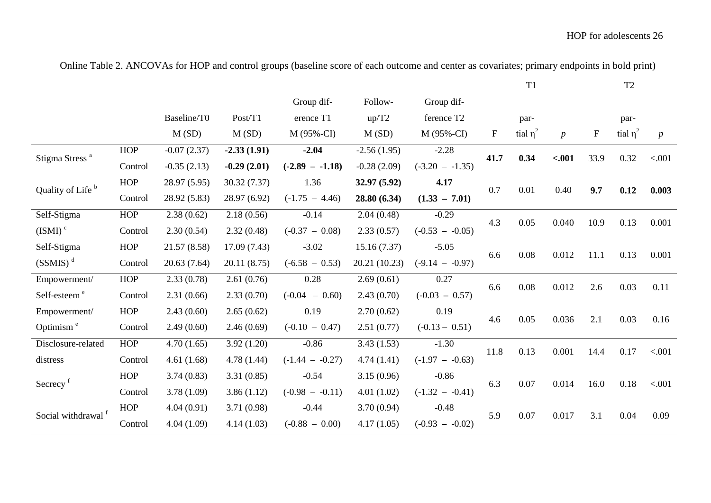|                              |            |               |               |                   |               |                   |             | T <sub>1</sub> |                  |                           | T <sub>2</sub> |                  |      |
|------------------------------|------------|---------------|---------------|-------------------|---------------|-------------------|-------------|----------------|------------------|---------------------------|----------------|------------------|------|
|                              |            |               |               | Group dif-        | Follow-       | Group dif-        |             |                |                  |                           |                |                  |      |
|                              |            | Baseline/T0   | Post/T1       | erence T1         | up/T2         | ference T2        |             | par-           |                  |                           | par-           |                  |      |
|                              |            | M(SD)         | M(SD)         | M (95%-CI)        | M(SD)         | M (95%-CI)        | $\mathbf F$ | tial $\eta^2$  | $\boldsymbol{p}$ | $\boldsymbol{\mathrm{F}}$ | tial $\eta^2$  | $\boldsymbol{p}$ |      |
| Stigma Stress <sup>a</sup>   | <b>HOP</b> | $-0.07(2.37)$ | $-2.33(1.91)$ | $-2.04$           | $-2.56(1.95)$ | $-2.28$           | 41.7        | 0.34           | $-.001$          | 33.9                      | 0.32           | < .001           |      |
|                              | Control    | $-0.35(2.13)$ | $-0.29(2.01)$ | $(-2.89 - -1.18)$ | $-0.28(2.09)$ | $(-3.20 - 1.35)$  |             |                |                  |                           |                |                  |      |
| Quality of Life <sup>b</sup> | HOP        | 28.97 (5.95)  | 30.32(7.37)   | 1.36              | 32.97 (5.92)  | 4.17              | 0.7         | 0.01           |                  |                           | 0.12           | 0.003            |      |
|                              | Control    | 28.92 (5.83)  | 28.97 (6.92)  | $(-1.75 - 4.46)$  | 28.80 (6.34)  | $(1.33 - 7.01)$   |             |                | 0.40             | 9.7                       |                |                  |      |
| Self-Stigma                  | <b>HOP</b> | 2.38(0.62)    | 2.18(0.56)    | $-0.14$           | 2.04(0.48)    | $-0.29$           | 4.3         | 0.05           | 0.040            | 10.9                      | 0.13           | 0.001            |      |
| $(ISMI)$ <sup>c</sup>        | Control    | 2.30(0.54)    | 2.32(0.48)    | $(-0.37 - 0.08)$  | 2.33(0.57)    | $(-0.53 - -0.05)$ |             |                |                  |                           |                |                  |      |
| Self-Stigma                  | <b>HOP</b> | 21.57 (8.58)  | 17.09(7.43)   | $-3.02$           | 15.16(7.37)   | $-5.05$           |             |                |                  | 11.1                      | 0.13           | 0.001            |      |
| $(SSMIS)^d$                  | Control    | 20.63 (7.64)  | 20.11 (8.75)  | $(-6.58 - 0.53)$  | 20.21 (10.23) | $(-9.14 - -0.97)$ | 6.6         | 0.08           | 0.012            |                           |                |                  |      |
| Empowerment/                 | HOP        | 2.33(0.78)    | 2.61(0.76)    | 0.28              | 2.69(0.61)    | 0.27              |             | 6.6            |                  | 0.012                     | 2.6            | 0.03             | 0.11 |
| Self-esteem <sup>e</sup>     | Control    | 2.31(0.66)    | 2.33(0.70)    | $(-0.04 - 0.60)$  | 2.43(0.70)    | $(-0.03 - 0.57)$  |             | $0.08\,$       |                  |                           |                |                  |      |
| Empowerment/                 | <b>HOP</b> | 2.43(0.60)    | 2.65(0.62)    | 0.19              | 2.70(0.62)    | 0.19              |             |                |                  |                           | 0.03           |                  |      |
| Optimism <sup>e</sup>        | Control    | 2.49(0.60)    | 2.46(0.69)    | $(-0.10 - 0.47)$  | 2.51(0.77)    | $(-0.13 - 0.51)$  | 4.6         | 0.05           | 0.036            | 2.1                       |                | 0.16             |      |
| Disclosure-related           | <b>HOP</b> | 4.70(1.65)    | 3.92(1.20)    | $-0.86$           | 3.43(1.53)    | $-1.30$           | 11.8        | 0.13           |                  | 14.4                      | 0.17           | < .001           |      |
| distress                     | Control    | 4.61(1.68)    | 4.78(1.44)    | $(-1.44 - -0.27)$ | 4.74(1.41)    | $(-1.97 - -0.63)$ |             |                | 0.001            |                           |                |                  |      |
| Secrecy <sup>f</sup>         | <b>HOP</b> | 3.74(0.83)    | 3.31(0.85)    | $-0.54$           | 3.15(0.96)    | $-0.86$           | 6.3         |                |                  |                           |                | < .001           |      |
|                              | Control    | 3.78(1.09)    | 3.86(1.12)    | $(-0.98 - -0.11)$ | 4.01(1.02)    | $(-1.32 - -0.41)$ |             | 0.07           | 0.014            | 16.0                      | 0.18           |                  |      |
|                              | <b>HOP</b> | 4.04(0.91)    | 3.71(0.98)    | $-0.44$           | 3.70(0.94)    | $-0.48$           |             |                |                  |                           |                |                  |      |
| Social withdrawal            | Control    | 4.04(1.09)    | 4.14(1.03)    | $(-0.88 - 0.00)$  | 4.17(1.05)    | $(-0.93 - -0.02)$ | 5.9         | 0.07           | 0.017            | 3.1                       | 0.04           | 0.09             |      |
|                              |            |               |               |                   |               |                   |             |                |                  |                           |                |                  |      |

Online Table 2. ANCOVAs for HOP and control groups (baseline score of each outcome and center as covariates; primary endpoints in bold print)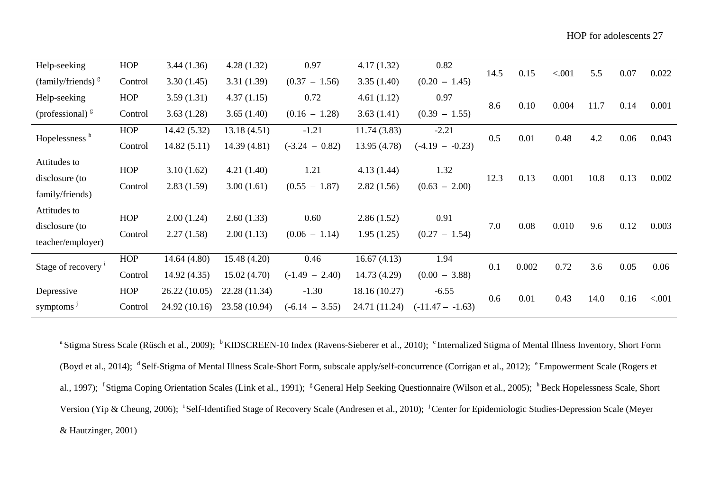| Help-seeking                   | <b>HOP</b> | 3.44(1.36)    | 4.28(1.32)    | 0.97             | 4.17(1.32)    | 0.82               | 14.5 | 0.15  | < .001 | 5.5  | 0.07 | 0.022  |
|--------------------------------|------------|---------------|---------------|------------------|---------------|--------------------|------|-------|--------|------|------|--------|
| (family/friends) $\frac{g}{g}$ | Control    | 3.30(1.45)    | 3.31(1.39)    | $(0.37 - 1.56)$  | 3.35(1.40)    | $(0.20 - 1.45)$    |      |       |        |      |      |        |
| Help-seeking                   | <b>HOP</b> | 3.59(1.31)    | 4.37(1.15)    | 0.72             | 4.61(1.12)    | 0.97               |      |       |        |      |      |        |
| (professional) $\frac{g}{g}$   | Control    | 3.63(1.28)    | 3.65(1.40)    | $(0.16 - 1.28)$  | 3.63(1.41)    | $(0.39 - 1.55)$    | 8.6  | 0.10  | 0.004  | 11.7 | 0.14 | 0.001  |
| Hopelessness <sup>h</sup>      | <b>HOP</b> | 14.42 (5.32)  | 13.18(4.51)   | $-1.21$          | 11.74 (3.83)  | $-2.21$            | 0.5  | 0.01  | 0.48   | 4.2  | 0.06 | 0.043  |
|                                | Control    | 14.82(5.11)   | 14.39 (4.81)  | $(-3.24 - 0.82)$ | 13.95 (4.78)  | $(-4.19 - -0.23)$  |      |       |        |      |      |        |
| Attitudes to                   | <b>HOP</b> | 3.10(1.62)    | 4.21(1.40)    | 1.21             | 4.13(1.44)    | 1.32               |      |       |        |      |      |        |
| disclosure (to                 | Control    | 2.83(1.59)    | 3.00(1.61)    | $(0.55 - 1.87)$  | 2.82(1.56)    | $(0.63 - 2.00)$    | 12.3 | 0.13  | 0.001  | 10.8 | 0.13 | 0.002  |
| family/friends)                |            |               |               |                  |               |                    |      |       |        |      |      |        |
| Attitudes to                   | <b>HOP</b> | 2.00(1.24)    | 2.60(1.33)    | 0.60             |               | 0.91               |      |       |        |      |      |        |
| disclosure (to                 |            |               |               |                  | 2.86(1.52)    |                    | 7.0  | 0.08  | 0.010  | 9.6  | 0.12 | 0.003  |
| teacher/employer)              | Control    | 2.27(1.58)    | 2.00(1.13)    | $(0.06 - 1.14)$  | 1.95(1.25)    | $(0.27 - 1.54)$    |      |       |        |      |      |        |
|                                | <b>HOP</b> | 14.64 (4.80)  | 15.48 (4.20)  | 0.46             | 16.67(4.13)   | 1.94               | 0.1  |       | 0.72   | 3.6  |      |        |
| Stage of recovery <sup>1</sup> | Control    | 14.92 (4.35)  | 15.02(4.70)   | $(-1.49 - 2.40)$ | 14.73 (4.29)  | $(0.00 - 3.88)$    |      | 0.002 |        |      | 0.05 | 0.06   |
| Depressive                     | <b>HOP</b> | 26.22 (10.05) | 22.28 (11.34) | $-1.30$          | 18.16 (10.27) | $-6.55$            |      |       |        |      |      |        |
| symptoms <sup>3</sup>          | Control    | 24.92 (10.16) | 23.58 (10.94) | $(-6.14 - 3.55)$ | 24.71 (11.24) | $(-11.47 - -1.63)$ | 0.6  | 0.01  | 0.43   | 14.0 | 0.16 | < .001 |

<sup>a</sup> Stigma Stress Scale (Rüsch et al., 2009); <sup>b</sup>KIDSCREEN-10 Index (Ravens-Sieberer et al., 2010); <sup>c</sup>Internalized Stigma of Mental Illness Inventory, Short Form (Boyd et al., 2014); <sup>d</sup> Self-Stigma of Mental Illness Scale-Short Form, subscale apply/self-concurrence (Corrigan et al., 2012); <sup>e</sup> Empowerment Scale (Rogers et al., 1997); <sup>f</sup> Stigma Coping Orientation Scales (Link et al., 1991); <sup>g</sup> General Help Seeking Questionnaire (Wilson et al., 2005); <sup>h</sup> Beck Hopelessness Scale, Short Version (Yip & Cheung, 2006); <sup>i</sup>Self-Identified Stage of Recovery Scale (Andresen et al., 2010); <sup>j</sup>Center for Epidemiologic Studies-Depression Scale (Meyer & Hautzinger, 2001)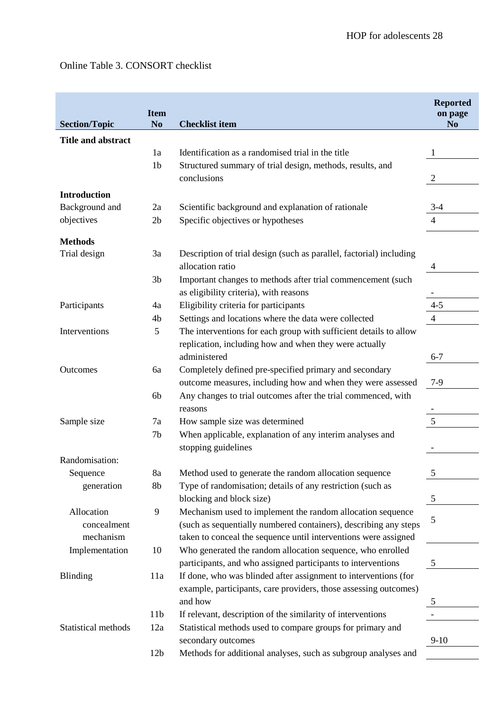# Online Table 3. CONSORT checklist

|                           | <b>Item</b>     |                                                                     | <b>Reported</b><br>on page |
|---------------------------|-----------------|---------------------------------------------------------------------|----------------------------|
| <b>Section/Topic</b>      | N <sub>0</sub>  | <b>Checklist item</b>                                               | N <sub>o</sub>             |
| <b>Title and abstract</b> |                 |                                                                     |                            |
|                           | 1a              | Identification as a randomised trial in the title                   |                            |
|                           | 1 <sub>b</sub>  | Structured summary of trial design, methods, results, and           |                            |
|                           |                 | conclusions                                                         | $\overline{2}$             |
| <b>Introduction</b>       |                 |                                                                     |                            |
| Background and            | 2a              | Scientific background and explanation of rationale                  | $3-4$                      |
| objectives                | 2 <sub>b</sub>  | Specific objectives or hypotheses                                   | 4                          |
|                           |                 |                                                                     |                            |
| <b>Methods</b>            |                 |                                                                     |                            |
| Trial design              | 3a              | Description of trial design (such as parallel, factorial) including |                            |
|                           |                 | allocation ratio                                                    | 4                          |
|                           | 3 <sub>b</sub>  | Important changes to methods after trial commencement (such         |                            |
|                           |                 | as eligibility criteria), with reasons                              |                            |
| Participants              | 4a              | Eligibility criteria for participants                               | $4 - 5$                    |
|                           | 4b              | Settings and locations where the data were collected                | $\overline{4}$             |
| Interventions             | 5               | The interventions for each group with sufficient details to allow   |                            |
|                           |                 | replication, including how and when they were actually              |                            |
|                           |                 | administered                                                        | $6 - 7$                    |
| Outcomes                  | 6a              | Completely defined pre-specified primary and secondary              |                            |
|                           |                 | outcome measures, including how and when they were assessed         | $7-9$                      |
|                           | 6b              | Any changes to trial outcomes after the trial commenced, with       |                            |
|                           |                 | reasons                                                             | 5                          |
| Sample size               | 7a              | How sample size was determined                                      |                            |
|                           | 7 <sub>b</sub>  | When applicable, explanation of any interim analyses and            |                            |
| Randomisation:            |                 | stopping guidelines                                                 |                            |
|                           | 8a              | Method used to generate the random allocation sequence              |                            |
| Sequence<br>generation    | 8 <sub>b</sub>  | Type of randomisation; details of any restriction (such as          | 5                          |
|                           |                 | blocking and block size)                                            | $\sqrt{5}$                 |
| Allocation                | 9               | Mechanism used to implement the random allocation sequence          |                            |
| concealment               |                 | (such as sequentially numbered containers), describing any steps    | 5                          |
| mechanism                 |                 | taken to conceal the sequence until interventions were assigned     |                            |
| Implementation            | 10              | Who generated the random allocation sequence, who enrolled          |                            |
|                           |                 | participants, and who assigned participants to interventions        | $\mathfrak{S}$             |
| <b>Blinding</b>           | 11a             | If done, who was blinded after assignment to interventions (for     |                            |
|                           |                 | example, participants, care providers, those assessing outcomes)    |                            |
|                           |                 | and how                                                             | 5                          |
|                           | 11 <sub>b</sub> | If relevant, description of the similarity of interventions         |                            |
| Statistical methods       | 12a             | Statistical methods used to compare groups for primary and          |                            |
|                           |                 | secondary outcomes                                                  | $9-10$                     |
|                           | 12 <sub>b</sub> | Methods for additional analyses, such as subgroup analyses and      |                            |